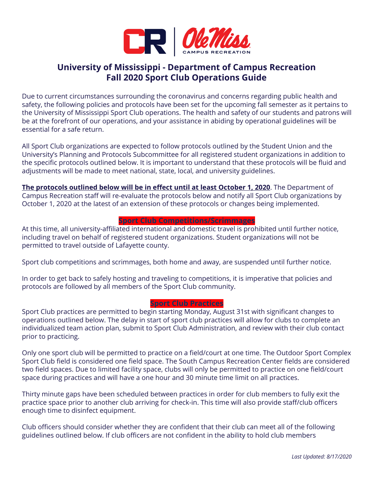

# **University of Mississippi - Department of Campus Recreation Fall 2020 Sport Club Operations Guide**

Due to current circumstances surrounding the coronavirus and concerns regarding public health and safety, the following policies and protocols have been set for the upcoming fall semester as it pertains to the University of Mississippi Sport Club operations. The health and safety of our students and patrons will be at the forefront of our operations, and your assistance in abiding by operational guidelines will be essential for a safe return.

All Sport Club organizations are expected to follow protocols outlined by the Student Union and the University's Planning and Protocols Subcommittee for all registered student organizations in addition to the specific protocols outlined below. It is important to understand that these protocols will be fluid and adjustments will be made to meet national, state, local, and university guidelines.

**The protocols outlined below will be in effect until at least October 1, 2020**. The Department of Campus Recreation staff will re-evaluate the protocols below and notify all Sport Club organizations by October 1, 2020 at the latest of an extension of these protocols or changes being implemented.

# **Sport Club Competitions/Scrimmages**

At this time, all university-affiliated international and domestic travel is prohibited until further notice, including travel on behalf of registered student organizations. Student organizations will not be permitted to travel outside of Lafayette county.

Sport club competitions and scrimmages, both home and away, are suspended until further notice.

In order to get back to safely hosting and traveling to competitions, it is imperative that policies and protocols are followed by all members of the Sport Club community.

## **Sport Club Practices**

Sport Club practices are permitted to begin starting Monday, August 31st with significant changes to operations outlined below. The delay in start of sport club practices will allow for clubs to complete an individualized team action plan, submit to Sport Club Administration, and review with their club contact prior to practicing.

Only one sport club will be permitted to practice on a field/court at one time. The Outdoor Sport Complex Sport Club field is considered one field space. The South Campus Recreation Center fields are considered two field spaces. Due to limited facility space, clubs will only be permitted to practice on one field/court space during practices and will have a one hour and 30 minute time limit on all practices.

Thirty minute gaps have been scheduled between practices in order for club members to fully exit the practice space prior to another club arriving for check-in. This time will also provide staff/club officers enough time to disinfect equipment.

Club officers should consider whether they are confident that their club can meet all of the following guidelines outlined below. If club officers are not confident in the ability to hold club members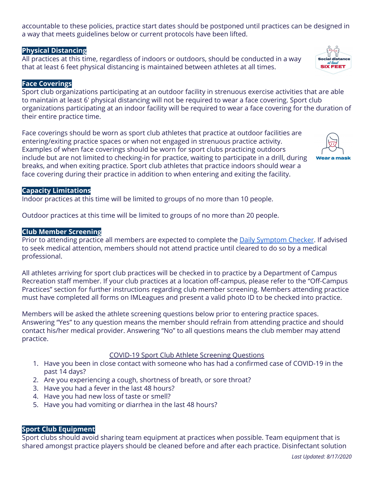accountable to these policies, practice start dates should be postponed until practices can be designed in a way that meets guidelines below or current protocols have been lifted.

# **Physical Distancing**

All practices at this time, regardless of indoors or outdoors, should be conducted in a way that at least 6 feet physical distancing is maintained between athletes at all times.

# **Face Coverings**

Sport club organizations participating at an outdoor facility in strenuous exercise activities that are able to maintain at least 6' physical distancing will not be required to wear a face covering. Sport club organizations participating at an indoor facility will be required to wear a face covering for the duration of their entire practice time.

Face coverings should be worn as sport club athletes that practice at outdoor facilities are entering/exiting practice spaces or when not engaged in strenuous practice activity. Examples of when face coverings should be worn for sport clubs practicing outdoors include but are not limited to checking-in for practice, waiting to participate in a drill, during breaks, and when exiting practice. Sport club athletes that practice indoors should wear a face covering during their practice in addition to when entering and exiting the facility.

#### **Capacity Limitations**

Indoor practices at this time will be limited to groups of no more than 10 people.

Outdoor practices at this time will be limited to groups of no more than 20 people.

#### **Club Member Screening**

Prior to attending practice all members are expected to complete the **Daily [Symptom](https://uofmississippi.qualtrics.com/jfe/form/SV_eKH25jxIIHAr8A5?) Checker**. If advised to seek medical attention, members should not attend practice until cleared to do so by a medical professional.

All athletes arriving for sport club practices will be checked in to practice by a Department of Campus Recreation staff member. If your club practices at a location off-campus, please refer to the "Off-Campus Practices" section for further instructions regarding club member screening. Members attending practice must have completed all forms on IMLeagues and present a valid photo ID to be checked into practice.

Members will be asked the athlete screening questions below prior to entering practice spaces. Answering "Yes" to any question means the member should refrain from attending practice and should contact his/her medical provider. Answering "No" to all questions means the club member may attend practice.

## COVID-19 Sport Club Athlete Screening Questions

- 1. Have you been in close contact with someone who has had a confirmed case of COVID-19 in the past 14 days?
- 2. Are you experiencing a cough, shortness of breath, or sore throat?
- 3. Have you had a fever in the last 48 hours?
- 4. Have you had new loss of taste or smell?
- 5. Have you had vomiting or diarrhea in the last 48 hours?

# **Sport Club Equipment**

Sport clubs should avoid sharing team equipment at practices when possible. Team equipment that is shared amongst practice players should be cleaned before and after each practice. Disinfectant solution



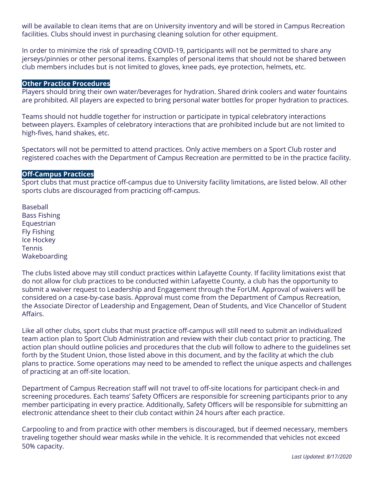will be available to clean items that are on University inventory and will be stored in Campus Recreation facilities. Clubs should invest in purchasing cleaning solution for other equipment.

In order to minimize the risk of spreading COVID-19, participants will not be permitted to share any jerseys/pinnies or other personal items. Examples of personal items that should not be shared between club members includes but is not limited to gloves, knee pads, eye protection, helmets, etc.

#### **Other Practice Procedures**

Players should bring their own water/beverages for hydration. Shared drink coolers and water fountains are prohibited. All players are expected to bring personal water bottles for proper hydration to practices.

Teams should not huddle together for instruction or participate in typical celebratory interactions between players. Examples of celebratory interactions that are prohibited include but are not limited to high-fives, hand shakes, etc.

Spectators will not be permitted to attend practices. Only active members on a Sport Club roster and registered coaches with the Department of Campus Recreation are permitted to be in the practice facility.

## **Off-Campus Practices**

Sport clubs that must practice off-campus due to University facility limitations, are listed below. All other sports clubs are discouraged from practicing off-campus.

Baseball Bass Fishing Equestrian Fly Fishing Ice Hockey Tennis Wakeboarding

The clubs listed above may still conduct practices within Lafayette County. If facility limitations exist that do not allow for club practices to be conducted within Lafayette County, a club has the opportunity to submit a waiver request to Leadership and Engagement through the ForUM. Approval of waivers will be considered on a case-by-case basis. Approval must come from the Department of Campus Recreation, the Associate Director of Leadership and Engagement, Dean of Students, and Vice Chancellor of Student Affairs.

Like all other clubs, sport clubs that must practice off-campus will still need to submit an individualized team action plan to Sport Club Administration and review with their club contact prior to practicing. The action plan should outline policies and procedures that the club will follow to adhere to the guidelines set forth by the Student Union, those listed above in this document, and by the facility at which the club plans to practice. Some operations may need to be amended to reflect the unique aspects and challenges of practicing at an off-site location.

Department of Campus Recreation staff will not travel to off-site locations for participant check-in and screening procedures. Each teams' Safety Officers are responsible for screening participants prior to any member participating in every practice. Additionally, Safety Officers will be responsible for submitting an electronic attendance sheet to their club contact within 24 hours after each practice.

Carpooling to and from practice with other members is discouraged, but if deemed necessary, members traveling together should wear masks while in the vehicle. It is recommended that vehicles not exceed 50% capacity.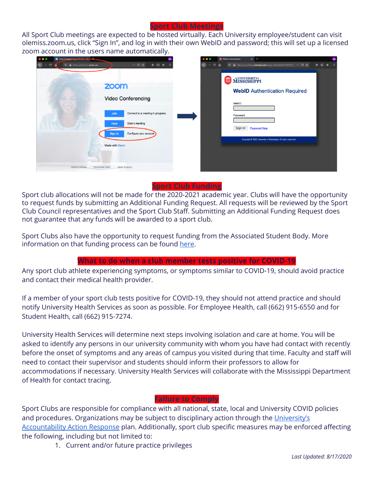#### **Sport Club Meetings**

All Sport Club meetings are expected to be hosted virtually. Each University employee/student can visit olemiss.zoom.us, click "Sign In", and log in with their own WebID and password; this will set up a licensed zoom account in the users name automatically.



# **Sport Club Funding**

Sport club allocations will not be made for the 2020-2021 academic year. Clubs will have the opportunity to request funds by submitting an Additional Funding Request. All requests will be reviewed by the Sport Club Council representatives and the Sport Club Staff. Submitting an Additional Funding Request does not guarantee that any funds will be awarded to a sport club.

Sport Clubs also have the opportunity to request funding from the Associated Student Body. More information on that funding process can be found [here](https://www.olemissasb.org/rso-funding).

## **What to do when a club member tests positive for COVID-19**

Any sport club athlete experiencing symptoms, or symptoms similar to COVID-19, should avoid practice and contact their medical health provider.

If a member of your sport club tests positive for COVID-19, they should not attend practice and should notify University Health Services as soon as possible. For Employee Health, call (662) 915-6550 and for Student Health, call (662) 915-7274.

University Health Services will determine next steps involving isolation and care at home. You will be asked to identify any persons in our university community with whom you have had contact with recently before the onset of symptoms and any areas of campus you visited during that time. Faculty and staff will need to contact their supervisor and students should inform their professors to allow for accommodations if necessary. University Health Services will collaborate with the Mississippi Department of Health for contact tracing.

## **Failure to Comply**

Sport Clubs are responsible for compliance with all national, state, local and University COVID policies and procedures. Organizations may be subject to disciplinary action through the [University's](https://elearning.olemiss.edu/wp-content/uploads/sites/3/2020/08/Accountability-Action-Response-Integrated-FINAL-v5.0-orig-from-COVID-CRSC-r0731201.pdf) [Accountability](https://elearning.olemiss.edu/wp-content/uploads/sites/3/2020/08/Accountability-Action-Response-Integrated-FINAL-v5.0-orig-from-COVID-CRSC-r0731201.pdf) Action Response plan. Additionally, sport club specific measures may be enforced affecting the following, including but not limited to:

1. Current and/or future practice privileges